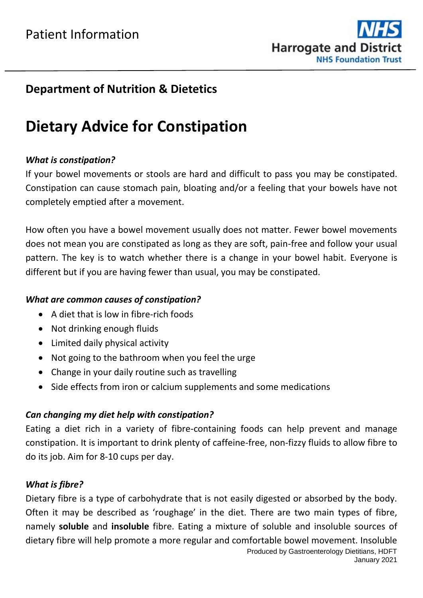

### **Department of Nutrition & Dietetics**

# **Dietary Advice for Constipation**

#### *What is constipation?*

If your bowel movements or stools are hard and difficult to pass you may be constipated. Constipation can cause stomach pain, bloating and/or a feeling that your bowels have not completely emptied after a movement.

How often you have a bowel movement usually does not matter. Fewer bowel movements does not mean you are constipated as long as they are soft, pain-free and follow your usual pattern. The key is to watch whether there is a change in your bowel habit. Everyone is different but if you are having fewer than usual, you may be constipated.

#### *What are common causes of constipation?*

- A diet that is low in fibre-rich foods
- Not drinking enough fluids
- Limited daily physical activity
- Not going to the bathroom when you feel the urge
- Change in your daily routine such as travelling
- Side effects from iron or calcium supplements and some medications

#### *Can changing my diet help with constipation?*

Eating a diet rich in a variety of fibre-containing foods can help prevent and manage constipation. It is important to drink plenty of caffeine-free, non-fizzy fluids to allow fibre to do its job. Aim for 8-10 cups per day.

#### *What is fibre?*

Produced by Gastroenterology Dietitians, HDFT Dietary fibre is a type of carbohydrate that is not easily digested or absorbed by the body. Often it may be described as 'roughage' in the diet. There are two main types of fibre, namely **soluble** and **insoluble** fibre. Eating a mixture of soluble and insoluble sources of dietary fibre will help promote a more regular and comfortable bowel movement. Insoluble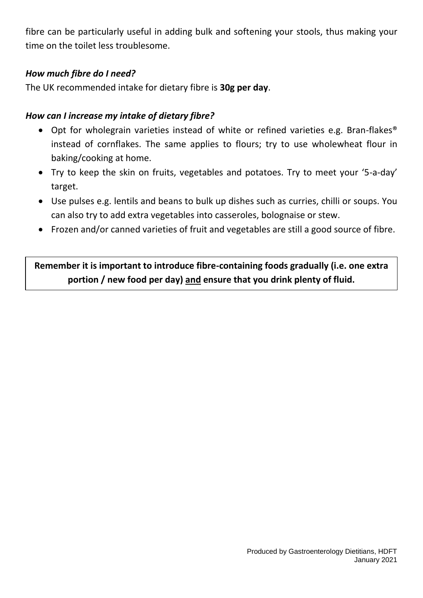fibre can be particularly useful in adding bulk and softening your stools, thus making your time on the toilet less troublesome.

#### *How much fibre do I need?*

The UK recommended intake for dietary fibre is **30g per day**.

#### *How can I increase my intake of dietary fibre?*

- Opt for wholegrain varieties instead of white or refined varieties e.g. Bran-flakes<sup>®</sup> instead of cornflakes. The same applies to flours; try to use wholewheat flour in baking/cooking at home.
- Try to keep the skin on fruits, vegetables and potatoes. Try to meet your '5-a-day' target.
- Use pulses e.g. lentils and beans to bulk up dishes such as curries, chilli or soups. You can also try to add extra vegetables into casseroles, bolognaise or stew.
- Frozen and/or canned varieties of fruit and vegetables are still a good source of fibre.

**Remember it is important to introduce fibre-containing foods gradually (i.e. one extra portion / new food per day) and ensure that you drink plenty of fluid.**